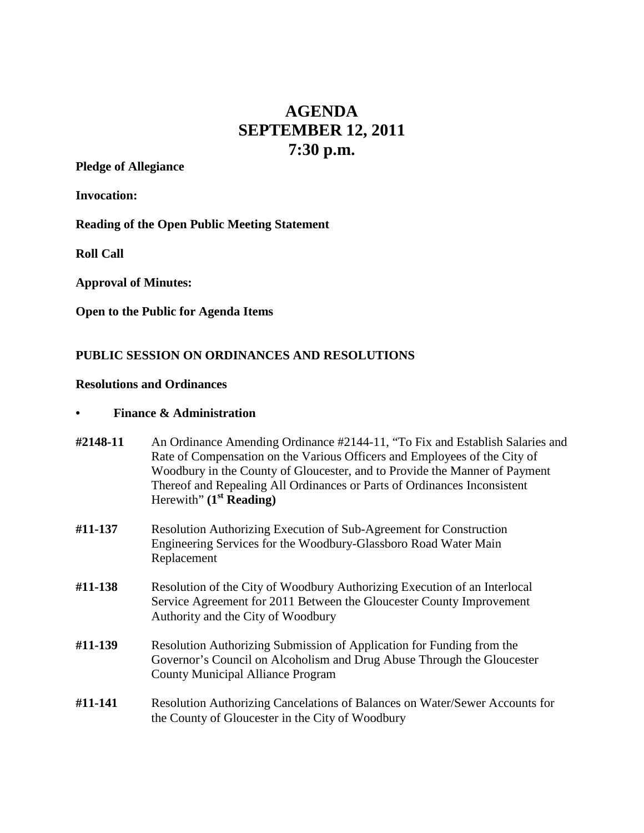# **AGENDA SEPTEMBER 12, 2011 7:30 p.m.**

**Pledge of Allegiance**

**Invocation:**

**Reading of the Open Public Meeting Statement**

**Roll Call**

**Approval of Minutes:**

**Open to the Public for Agenda Items**

## **PUBLIC SESSION ON ORDINANCES AND RESOLUTIONS**

#### **Resolutions and Ordinances**

#### **• Finance & Administration**

- **#2148-11** An Ordinance Amending Ordinance #2144-11, "To Fix and Establish Salaries and Rate of Compensation on the Various Officers and Employees of the City of Woodbury in the County of Gloucester, and to Provide the Manner of Payment Thereof and Repealing All Ordinances or Parts of Ordinances Inconsistent Herewith" **(1st Reading)**
- **#11-137** Resolution Authorizing Execution of Sub-Agreement for Construction Engineering Services for the Woodbury-Glassboro Road Water Main Replacement
- **#11-138** Resolution of the City of Woodbury Authorizing Execution of an Interlocal Service Agreement for 2011 Between the Gloucester County Improvement Authority and the City of Woodbury
- **#11-139** Resolution Authorizing Submission of Application for Funding from the Governor's Council on Alcoholism and Drug Abuse Through the Gloucester County Municipal Alliance Program
- **#11-141** Resolution Authorizing Cancelations of Balances on Water/Sewer Accounts for the County of Gloucester in the City of Woodbury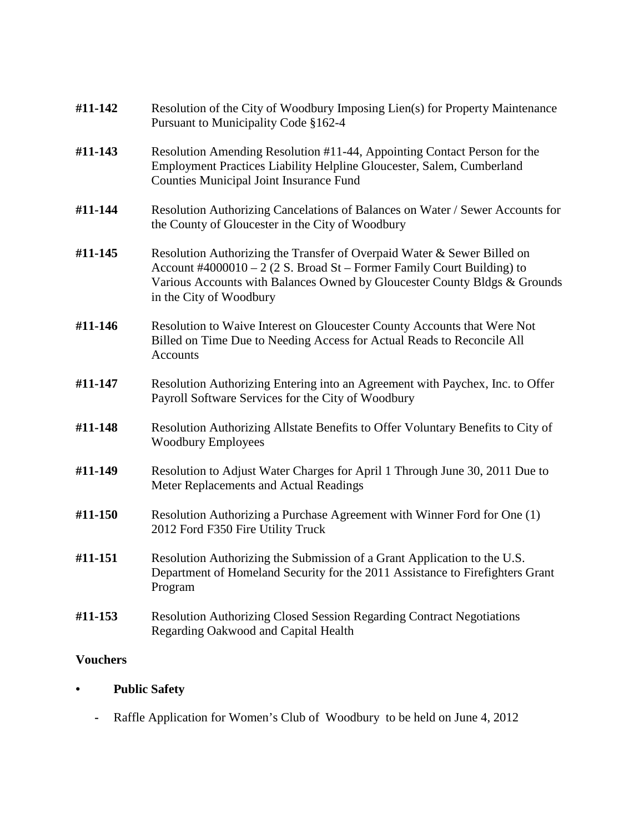| #11-142         | Resolution of the City of Woodbury Imposing Lien(s) for Property Maintenance<br>Pursuant to Municipality Code §162-4                                                                                                                                      |
|-----------------|-----------------------------------------------------------------------------------------------------------------------------------------------------------------------------------------------------------------------------------------------------------|
| #11-143         | Resolution Amending Resolution #11-44, Appointing Contact Person for the<br>Employment Practices Liability Helpline Gloucester, Salem, Cumberland<br>Counties Municipal Joint Insurance Fund                                                              |
| #11-144         | Resolution Authorizing Cancelations of Balances on Water / Sewer Accounts for<br>the County of Gloucester in the City of Woodbury                                                                                                                         |
| #11-145         | Resolution Authorizing the Transfer of Overpaid Water & Sewer Billed on<br>Account #4000010 – 2 (2 S. Broad St – Former Family Court Building) to<br>Various Accounts with Balances Owned by Gloucester County Bldgs & Grounds<br>in the City of Woodbury |
| #11-146         | Resolution to Waive Interest on Gloucester County Accounts that Were Not<br>Billed on Time Due to Needing Access for Actual Reads to Reconcile All<br>Accounts                                                                                            |
| #11-147         | Resolution Authorizing Entering into an Agreement with Paychex, Inc. to Offer<br>Payroll Software Services for the City of Woodbury                                                                                                                       |
| #11-148         | Resolution Authorizing Allstate Benefits to Offer Voluntary Benefits to City of<br><b>Woodbury Employees</b>                                                                                                                                              |
| #11-149         | Resolution to Adjust Water Charges for April 1 Through June 30, 2011 Due to<br>Meter Replacements and Actual Readings                                                                                                                                     |
| #11-150         | Resolution Authorizing a Purchase Agreement with Winner Ford for One (1)<br>2012 Ford F350 Fire Utility Truck                                                                                                                                             |
| #11-151         | Resolution Authorizing the Submission of a Grant Application to the U.S.<br>Department of Homeland Security for the 2011 Assistance to Firefighters Grant<br>Program                                                                                      |
| #11-153         | Resolution Authorizing Closed Session Regarding Contract Negotiations<br>Regarding Oakwood and Capital Health                                                                                                                                             |
| <b>Vouchers</b> |                                                                                                                                                                                                                                                           |

- **• Public Safety**
	- **-** Raffle Application for Women's Club of Woodbury to be held on June 4, 2012